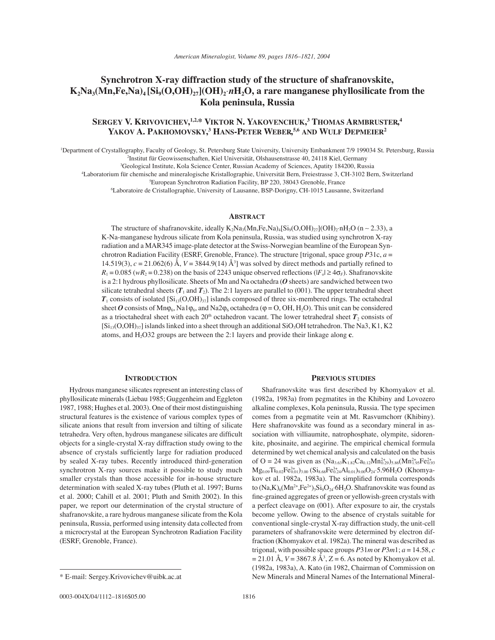# **Synchrotron X-ray diffraction study of the structure of shafranovskite,**   $K_2Na_3(Mn,Fe,Na)_4[Si_9(O,OH)_2(OH)_2nH_2O]$ , a rare manganese phyllosilicate from the **Kola peninsula, Russia**

## **SERGEY V. KRIVOVICHEV, 1,2,\* VIKTOR N. YAKOVENCHUK, 3 THOMAS ARMBRUSTER, 4 YAKOV A. PAKHOMOVSKY, 3 HANS-PETER WEBER, 5,6 AND WULF DEPMEIER2**

1 Department of Crystallography, Faculty of Geology, St. Petersburg State University, University Embankment 7/9 199034 St. Petersburg, Russia <sup>2</sup>Institut für Geowissenschaften, Kiel Universität, Olshausenstrasse 40, 24118 Kiel, Germany

3 Geological Institute, Kola Science Center, Russian Academy of Sciences, Apatity 184200, Russia

Laboratorium für chemische and mineralogische Kristallographie, Universität Bern, Freiestrasse 3, CH-3102 Bern, Switzerland

5 European Synchrotron Radiation Facility, BP 220, 38043 Grenoble, France

6 Laboratoire de Cristallographie, University of Lausanne, BSP-Dorigny, CH-1015 Lausanne, Switzerland

## **ABSTRACT**

The structure of shafranovskite, ideally K<sub>2</sub>Na<sub>3</sub>(Mn,Fe,Na)<sub>4</sub>[Si<sub>9</sub>(O,OH)<sub>27</sub>](OH)<sub>2</sub>⋅nH<sub>2</sub>O (n ~ 2.33), a K-Na-manganese hydrous silicate from Kola peninsula, Russia, was studied using synchrotron X-ray radiation and a MAR345 image-plate detector at the Swiss-Norwegian beamline of the European Synchrotron Radiation Facility (ESRF, Grenoble, France). The structure [trigonal, space group *P*31c, *a* = 14.519(3),  $c = 21.062(6)$  Å,  $V = 3844.9(14)$  Å<sup>3</sup>] was solved by direct methods and partially refined to  $R_1 = 0.085$  ( $wR_2 = 0.238$ ) on the basis of 2243 unique observed reflections ( $|F_0| \ge 4\sigma_F$ ). Shafranovskite is a 2:1 hydrous phyllosilicate. Sheets of Mn and Na octahedra (*O* sheets) are sandwiched between two silicate tetrahedral sheets  $(T_1$  and  $T_2)$ . The 2:1 layers are parallel to (001). The upper tetrahedral sheet  $T_1$  consists of isolated  $[Si_{13}(O,OH)_{37}]$  islands composed of three six-membered rings. The octahedral sheet *O* consists of Mn $\varphi_6$ , Na1 $\varphi_6$ , and Na2 $\varphi_6$  octahedra ( $\varphi$  = O, OH, H<sub>2</sub>O). This unit can be considered as a trioctahedral sheet with each  $20<sup>th</sup>$  octahedron vacant. The lower tetrahedral sheet  $T_2$  consists of  $[Si_{13}(O,OH)_{37}]$  islands linked into a sheet through an additional  $SiO_3OH$  tetrahedron. The Na3, K1, K2 atoms, and H2O32 groups are between the 2:1 layers and provide their linkage along **c**.

### **INTRODUCTION**

Hydrous manganese silicates represent an interesting class of phyllosilicate minerals (Liebau 1985; Guggenheim and Eggleton 1987, 1988; Hughes et al. 2003). One of their most distinguishing structural features is the existence of various complex types of silicate anions that result from inversion and tilting of silicate tetrahedra. Very often, hydrous manganese silicates are difficult objects for a single-crystal X-ray diffraction study owing to the absence of crystals sufficiently large for radiation produced by sealed X-ray tubes. Recently introduced third-generation synchrotron X-ray sources make it possible to study much smaller crystals than those accessible for in-house structure determination with sealed X-ray tubes (Pluth et al. 1997; Burns et al. 2000; Cahill et al. 2001; Pluth and Smith 2002). In this paper, we report our determination of the crystal structure of shafranovskite, a rare hydrous manganese silicate from the Kola peninsula, Russia, performed using intensity data collected from a microcrystal at the European Synchrotron Radiation Facility (ESRF, Grenoble, France).

#### **PREVIOUS STUDIES**

Shafranovskite was first described by Khomyakov et al. (1982a, 1983a) from pegmatites in the Khibiny and Lovozero alkaline complexes, Kola peninsula, Russia. The type specimen comes from a pegmatite vein at Mt. Rasvumchorr (Khibiny). Here shafranovskite was found as a secondary mineral in association with villiaumite, natrophosphate, olympite, sidorenkite, phosinaite, and aegirine. The empirical chemical formula determined by wet chemical analysis and calculated on the basis of O = 24 was given as  $(Na_{3.63}K_{1.82}Ca_{0.12}Mn_{0.29}^{2+})_{5.86}(Mn_{1.95}^{2+}Fe_{0.93}^{2+})$  $Mg_{0.09}Ti_{0.02}Fe_{0.01}^{3+})_{3.00} (Si_{8.68}Fe_{0.24}^{3+}Al_{0.01})_{9.00}O_{24}\cdot5.96H_2O (Khomya$ kov et al. 1982a, 1983a). The simplified formula corresponds to  $(Na,K)_{6}(Mn^{2+},Fe^{2+})_{3}Si_{9}O_{24}\cdot 6H_{2}O$ . Shafranovskite was found as fine-grained aggregates of green or yellowish-green crystals with a perfect cleavage on (001). After exposure to air, the crystals become yellow. Owing to the absence of crystals suitable for conventional single-crystal X-ray diffraction study, the unit-cell parameters of shafranovskite were determined by electron diffraction (Khomyakov et al. 1982a). The mineral was described as trigonal, with possible space groups  $P31m$  or  $P3m1; a = 14.58, c$  $= 21.01$  Å,  $V = 3867.8$  Å<sup>3</sup>,  $Z = 6$ . As noted by Khomyakov et al. (1982a, 1983a), A. Kato (in 1982, Chairman of Commission on \* E-mail: Sergey.Krivovichev@uibk.ac.at New Minerals and Mineral Names of the International Mineral-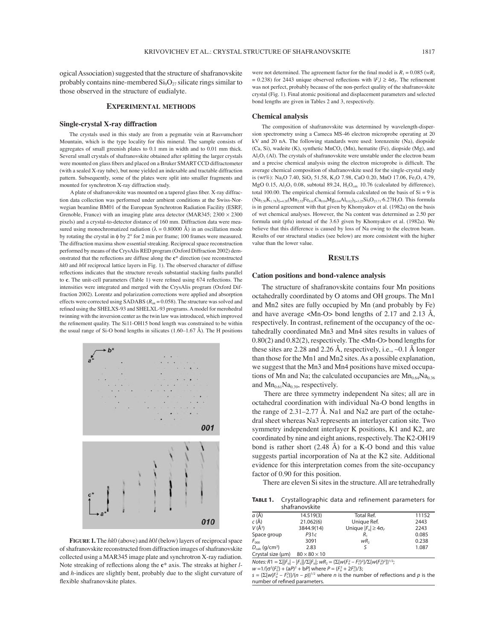ogical Association) suggested that the structure of shafranovskite probably contains nine-membered  $Si<sub>9</sub>O<sub>27</sub>$  silicate rings similar to those observed in the structure of eudialyte.

## **EXPERIMENTAL METHODS**

#### **Single-crystal X-ray diffraction**

The crystals used in this study are from a pegmatite vein at Rasvumchorr Mountain, which is the type locality for this mineral. The sample consists of aggregates of small greenish plates to 0.1 mm in width and to 0.01 mm thick. Several small crystals of shafranovskite obtained after splitting the larger crystals were mounted on glass fibers and placed on a Bruker SMART CCD diffractometer (with a sealed X-ray tube), but none yielded an indexable and tractable diffraction pattern. Subsequently, some of the plates were split into smaller fragments and mounted for synchrotron X-ray diffraction study.

A plate of shafranovskite was mounted on a tapered glass fiber. X-ray diffraction data collection was performed under ambient conditions at the Swiss-Norwegian beamline BM01 of the European Synchrotron Radiation Facility (ESRF, Grenoble, France) with an imaging plate area detector (MAR345;  $2300 \times 2300$ pixels) and a crystal-to-detector distance of 160 mm. Diffraction data were measured using monochromatized radiation ( $\lambda = 0.80000 \text{ Å}$ ) in an oscillation mode by rotating the crystal in ϕ by 2° for 2 min per frame; 100 frames were measured. The diffraction maxima show essential streaking. Reciprocal space reconstruction performed by means of the CrysAlis RED program (Oxford Diffraction 2002) demonstrated that the reflections are diffuse along the  $c^*$  direction (see reconstructed *hk*0 and *h*0*l* reciprocal lattice layers in Fig. 1). The observed character of diffuse reflections indicates that the structure reveals substantial stacking faults parallel to **c**. The unit-cell parameters (Table 1) were refined using 674 reflections. The intensities were integrated and merged with the CrysAlis program (Oxford Diffraction 2002). Lorentz and polarization corrections were applied and absorption effects were corrected using SADABS ( $R_{int}$  = 0.058). The structure was solved and refined using the SHELXS-93 and SHELXL-93 programs. A model for merohedral twinning with the inversion center as the twin law was introduced, which improved the refinement quality. The Si11-OH15 bond length was constrained to be within the usual range of Si-O bond lengths in silicates  $(1.60-1.67 \text{ Å})$ . The H positions



**FIGURE 1.** The *hk*0 (above) and *h*0*l* (below) layers of reciprocal space of shafranovskite reconstructed from diffraction images of shafranovskite collected using a MAR345 image plate and synchrotron X-ray radiation. Note streaking of reflections along the  $c^*$  axis. The streaks at higher *l*and *h*-indices are slightly bent, probably due to the slight curvature of flexible shafranovskite plates.

were not determined. The agreement factor for the final model is  $R_1 = 0.085$  ( $wR_2$ )  $= 0.238$ ) for 2443 unique observed reflections with  $|F_{o}| \geq 4\sigma_F$ . The refinement was not perfect, probably because of the non-perfect quality of the shafranovskite crystal (Fig. 1). Final atomic positional and displacement parameters and selected bond lengths are given in Tables 2 and 3, respectively.

#### **Chemical analysis**

The composition of shafranovskite was determined by wavelength-dispersion spectrometry using a Cameca MS-46 electron microprobe operating at 20 kV and 20 nA. The following standards were used: lorenzenite (Na), diopside  $(Ca, Si)$ , wadeite  $(K)$ , synthetic  $MnCO<sub>3</sub> (Mn)$ , hematite (Fe), diopside  $(Mg)$ , and Al2O3 (Al). The crystals of shafranovskite were unstable under the electron beam and a precise chemical analysis using the electron microprobe is difficult. The average chemical composition of shafranovskite used for the single-crystal study is (wt%): Na<sub>2</sub>O 7.40, SiO<sub>2</sub> 51.58, K<sub>2</sub>O 7.98, CaO 0.20, MnO 17.06, Fe<sub>2</sub>O<sub>3</sub> 4.79, MgO 0.15,  $Al_2O_3$  0.08, subtotal 89.24,  $H_2O_{calc}$  10.76 (calculated by difference), total 100.00. The empirical chemical formula calculated on the basis of  $Si = 9$  is  $(Na_{2.50}K_{1.78})_{\Sigma=4.28}(Mn_{2.52}Fe_{0.63}Ca_{0.04}Mg_{0.04}Al_{0.02})_{\Sigma=3.25}Si_9O_{23.71}\cdot 6.27H_2O.$  This formula is in general agreement with that given by Khomyakov et al. (1982a) on the basis of wet chemical analyses. However, the Na content was determined as 2.50 per formula unit (pfu) instead of the 3.63 given by Khomyakov et al. (1982a). We believe that this difference is caused by loss of Na owing to the electron beam. Results of our structural studies (see below) are more consistent with the higher value than the lower value.

## **RESULTS**

#### **Cation positions and bond-valence analysis**

The structure of shafranovskite contains four Mn positions octahedrally coordinated by O atoms and OH groups. The Mn1 and Mn2 sites are fully occupied by Mn (and probably by Fe) and have average  $|Mn-O|$  bond lengths of 2.17 and 2.13 Å, respectively. In contrast, refinement of the occupancy of the octahedrally coordinated Mn3 and Mn4 sites results in values of 0.80(2) and 0.82(2), respectively. The <Mn-O> bond lengths for these sites are 2.28 and 2.26 Å, respectively, i.e., ∼0.1 Å longer than those for the Mn1 and Mn2 sites. As a possible explanation, we suggest that the Mn3 and Mn4 positions have mixed occupations of Mn and Na; the calculated occupancies are  $Mn_{0.64}Na_{0.36}$ and  $Mn_{0.61}Na_{0.39}$ , respectively.

 There are three symmetry independent Na sites; all are in octahedral coordination with individual Na-O bond lengths in the range of  $2.31-2.77$  Å. Na1 and Na2 are part of the octahedral sheet whereas Na3 represents an interlayer cation site. Two symmetry independent interlayer K positions, K1 and K2, are coordinated by nine and eight anions, respectively. The K2-OH19 bond is rather short  $(2.48 \text{ Å})$  for a K-O bond and this value suggests partial incorporation of Na at the K2 site. Additional evidence for this interpretation comes from the site-occupancy factor of 0.90 for this position.

There are eleven Si sites in the structure. All are tetrahedrally

**TABLE 1.** Crystallographic data and refinement parameters for

|                                 | shafranovskite           |                                   |       |
|---------------------------------|--------------------------|-----------------------------------|-------|
| $a(\AA)$                        | 14.519(3)                | Total Ref.                        | 11152 |
| $c(\AA)$                        | 21.062(6)                | Unique Ref.                       | 2443  |
| $V(\AA^3)$                      | 3844.9(14)               | Unique $ F_{0}  \geq 4\sigma_{F}$ | 2243  |
| Space group                     | P31c                     | $R_1$                             | 0.085 |
| $F_{000}$                       | 3091                     | wR,                               | 0.238 |
| $D_{calc}$ (g/cm <sup>3</sup> ) | 2.83                     |                                   | 1.087 |
| Crystal size (µm)               | $80 \times 80 \times 10$ |                                   |       |

 $Notes: R1 = \sum ||F_{o}|-|F_{c}||/\sum |F_{o}|; WR_{2} = \{\sum [W(F_{o}^{2} - F_{c}^{2})^{2}]/\sum [W(F_{o}^{2})^{2}]\}^{1/2};$ <br> $w = 1/[\sigma^{2}(F_{o}^{2}) + (\text{a}P)^{2} + \text{b}P]$  where  $P = (F_{o}^{2} + 2F_{c}^{2})/3;$ 

 $s = {\sum [w(F_o^2 - F_c^2)]}{/}(n - p)^{1/2}$  where *n* is the number of reflections and *p* is the number of refined parameters.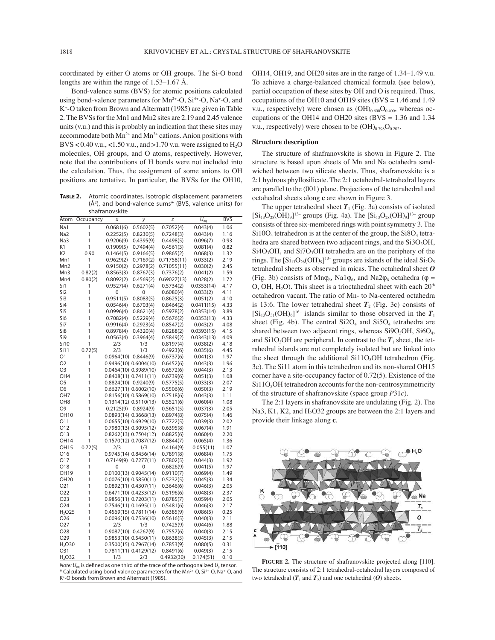coordinated by either O atoms or OH groups. The Si-O bond lengths are within the range of  $1.53-1.67$  Å.

 Bond-valence sums (BVS) for atomic positions calculated using bond-valence parameters for  $Mn^{2+}$ -O,  $Si^{4+}$ -O, Na<sup>+</sup>-O, and K+ -O taken from Brown and Altermatt (1985) are given in Table 2. The BVSs for the Mn1 and Mn2 sites are 2.19 and 2.45 valence units (v.u.) and this is probably an indication that these sites may accommodate both  $Mn^{2+}$  and  $Mn^{3+}$  cations. Anion positions with BVS < 0.40 v.u., <1.50 v.u., and >1.70 v.u. were assigned to  $H_2O$ molecules, OH groups, and O atoms, respectively. However, note that the contributions of H bonds were not included into the calculation. Thus, the assignment of some anions to OH positions are tentative. In particular, the BVSs for the OH10,

**TABLE 2.** Atomic coordinates, isotropic displacement parameters (Å2 ), and bond-valence sums\* (BVS, valence units) for shafranovskite

| Atom                   | Occupancy | Χ                        | у                         | Z                      | $U_{eq}$             | <b>BVS</b>   |
|------------------------|-----------|--------------------------|---------------------------|------------------------|----------------------|--------------|
| Na1                    | 1         | 0.0681(6)                | 0.5602(5)                 | 0.7052(4)              | 0.043(4)             | 1.06         |
| Na2                    | 1         | 0.2252(5)                | 0.8230(5)                 | 0.7248(3)              | 0.043(4)             | 1.16         |
| Na3                    | 1         | 0.9206(9)                | 0.4395(9)                 | 0.4498(5)              | 0.096(7)             | 0.93         |
| K1                     | 1         | 0.1909(5)                | 0.7494(4)                 | 0.4561(3)              | 0.081(4)             | 0.82         |
| K <sub>2</sub>         | 0.90      | 0.1464(5)                | 0.9166(5)                 | 0.9865(2)              | 0.068(3)             | 1.32         |
| Mn1                    | 1         | 0.9629(2)                | 0.7169(2)                 | 0.71758(11)            | 0.033(2)             | 2.19         |
| Mn <sub>2</sub>        | 1         | 0.9150(2)                | 0.2978(2)                 | 0.71055(11)            | 0.030(2)             | 2.45         |
| Mn3                    | 0.82(2)   | 0.8563(3)                | 0.8767(3)                 | 0.7376(2)              | 0.041(2)             | 1.59         |
| Mn4                    | 0.80(2)   | 0.8092(2)                | 0.4569(2)                 | 0.69027(13)            | 0.028(2)             | 1.72         |
| Si1                    | 1         | 0.9527(4)                | 0.6271(4)                 | 0.5734(2)              | 0.0353(14)           | 4.17         |
| Si <sub>2</sub>        | 1         | 0                        | 0                         | 0.6080(4)              | 0.033(2)             | 4.11         |
| Si3                    | 1         | 0.9511(5)                | 0.8083(5)                 | 0.8625(3)              | 0.051(2)             | 4.10         |
| Si4                    | 1         | 0.0546(4)                | 0.6703(4)                 | 0.8464(2)              | 0.0411(15)           | 4.33         |
| Si5                    | 1         | 0.0996(4)                | 0.8621(4)                 | 0.5978(2)              | 0.0353(14)           | 3.89         |
| Si6                    | 1         | 0.7082(4)                | 0.5229(4)                 | 0.5676(2)              | 0.0353(13)           | 4.33         |
| Si7                    | 1         | 0.9916(4)                | 0.2923(4)                 | 0.8547(2)              | 0.043(2)             | 4.08         |
| Si <sub>8</sub>        | 1         | 0.8978(4)                | 0.4320(4)                 | 0.8288(2)              | 0.0393(15)           | 4.15         |
| Si9                    | 1         | 0.0563(4)                | 0.3964(4)                 | 0.5849(2)              | 0.0343(13)           | 4.09         |
| Si10                   | 1         | 2/3                      | 1/3                       | 0.8197(4)              | 0.038(2)             | 4.18         |
| Si11<br>O <sub>1</sub> | 0.72(5)   | 2/3                      | 1/3                       | 0.4923(6)              | 0.035(6)             | 4.45         |
| O2                     | 1<br>1    | $0.0964(10)$ $0.8446(9)$ | 0.9496(10) 0.6004(10)     | 0.6737(6)              | 0.041(3)             | 1.97         |
| O <sub>3</sub>         | 1         |                          | $0.0464(10)$ $0.3989(10)$ | 0.6452(6)<br>0.6572(6) | 0.043(3)             | 1.96<br>2.13 |
| OH <sub>4</sub>        | 1         |                          | $0.8408(11)$ $0.7411(11)$ | 0.6739(6)              | 0.044(3)<br>0.051(3) | 1.08         |
| O <sub>5</sub>         | 1         | $0.8824(10)$ $0.9240(9)$ |                           | 0.5775(5)              | 0.033(3)             | 2.07         |
| O <sub>6</sub>         | 1         |                          | 0.6627(11) 0.6002(10)     | 0.5506(6)              | 0.050(3)             | 2.19         |
| OH <sub>7</sub>        | 1         |                          | 0.8156(10) 0.5869(10)     | 0.7518(6)              | 0.043(3)             | 1.11         |
| OH <sub>8</sub>        | 1         |                          | 0.1314(12) 0.5110(13)     | 0.5521(6)              | 0.060(4)             | 1.08         |
| O <sub>9</sub>         | 1         | 0.2125(9)                | 0.8924(9)                 | 0.5651(5)              | 0.037(3)             | 2.05         |
| <b>OH10</b>            | 1         |                          | $0.0893(14)$ $0.3668(13)$ | 0.8974(8)              | 0.075(4)             | 1.46         |
| O11                    | 1         |                          | 0.0655(10) 0.6929(10)     | 0.7722(5)              | 0.039(3)             | 2.02         |
| O12                    | 1         |                          | 0.7980(13) 0.3095(12)     | 0.6395(8)              | 0.067(4)             | 1.91         |
| O13                    | 1         |                          | $0.8262(13)$ $0.7504(12)$ | 0.8825(6)              | 0.060(4)             | 2.20         |
| OH14                   | 1         |                          | 0.1570(12) 0.7087(12)     | 0.8844(7)              | 0.065(4)             | 1.36         |
| <b>OH15</b>            | 0.72(5)   | 2/3                      | 1/3                       | 0.4164(9)              | 0.055(11)            | 1.07         |
| O <sub>16</sub>        | 1         |                          | 0.9745(14) 0.8456(14)     | 0.7891(8)              | 0.068(4)             | 1.75         |
| O17                    | 1         |                          | $0.7149(9)$ $0.7277(11)$  | 0.7802(5)              | 0.044(3)             | 1.92         |
| O18                    | 1         | 0                        | 0                         | 0.6826(9)              | 0.041(5)             | 1.97         |
| OH19                   | 1         |                          | $0.0100(13)$ $0.9045(14)$ | 0.9110(7)              | 0.069(4)             | 1.49         |
| OH <sub>20</sub>       | 1         |                          | $0.0076(10)$ $0.5850(11)$ | 0.5232(5)              | 0.045(3)             | 1.34         |
| 021                    | 1         |                          | $0.0892(11)$ $0.4307(11)$ | 0.3646(6)              | 0.046(3)             | 2.05         |
| O22                    | 1         |                          | 0.6471(10) 0.4233(12)     | 0.5196(6)              | 0.048(3)             | 2.37         |
| O <sub>2</sub> 3       | 1         |                          | 0.9856(11) 0.7203(11)     | 0.8785(7)              | 0.059(4)             | 2.05         |
| 024                    | 1         |                          | $0.7546(11)$ $0.1695(11)$ | 0.5481(6)              | 0.046(3)             | 2.17         |
| H <sub>2</sub> O25     | 1         |                          | $0.4569(15)$ $0.7811(14)$ | 0.6385(9)              | 0.086(5)             | 0.25         |
| O26                    | 1         |                          | $0.0096(10)$ $0.7536(10)$ | 0.5616(5)              | 0.040(3)             | 2.11         |
| 027                    | 1         | 2/3                      | 1/3                       | 0.7425(9)              | 0.044(6)             | 1.88         |
| O <sub>28</sub>        | 1         | $0.9087(10)$ $0.4267(9)$ |                           | 0.7557(6)              | 0.040(3)             | 2.15         |
| O29                    | 1         |                          | 0.9853(10) 0.5450(11)     | 0.8638(5)              | 0.045(3)             | 2.15         |
| H <sub>2</sub> O30     | 1         |                          | 0.3500(15) 0.7967(14)     | 0.7853(9)              | 0.080(5)             | 0.31         |
| O31                    | 1         |                          | 0.7811(11) 0.4129(12)     | 0.8491(6)              | 0.049(3)             | 2.15         |
| H <sub>2</sub> O32     | 1         | 1/3                      | 2/3                       | 0.4932(30)             | 0.174(51)            | 0.10         |

Note:  $U_{eq}$  is defined as one third of the trace of the orthogonalized  $U_{ij}$  tensor.  $\epsilon$  Calculated using bond-valence parameters for the Mn<sup>2+</sup>-O, Si<sup>4+</sup>-O, Na<sup>+</sup>-O, and K+-O bonds from Brown and Altermatt (1985).

OH14, OH19, and OH20 sites are in the range of  $1.34-1.49$  v.u. To achieve a charge-balanced chemical formula (see below), partial occupation of these sites by OH and O is required. Thus, occupations of the OH10 and OH19 sites (BVS = 1.46 and 1.49 v.u., respectively) were chosen as  $(OH)_{0.600}O_{0.400}$ , whereas occupations of the OH14 and OH20 sites (BVS =  $1.36$  and  $1.34$ ) v.u., respectively) were chosen to be  $(OH)_{0.798}O_{0.202}$ .

#### **Structure description**

The structure of shafranovskite is shown in Figure 2. The structure is based upon sheets of Mn and Na octahedra sandwiched between two silicate sheets. Thus, shafranovskite is a 2:1 hydrous phyllosilicate. The 2:1 octahedral-tetrahedral layers are parallel to the (001) plane. Projections of the tetrahedral and octahedral sheets along **c** are shown in Figure 3.

The upper tetrahedral sheet  $T_1$  (Fig. 3a) consists of isolated  $[Si_{13}O_{28}(OH)_9]^{13}$  groups (Fig. 4a). The  $[Si_{13}O_{28}(OH)_9]^{13}$  group consists of three six-membered rings with point symmetry 3. The  $Si10O<sub>4</sub>$  tetrahedron is at the center of the group, the  $Si8O<sub>4</sub>$  tetrahedra are shared between two adjacent rings, and the  $Si3O<sub>3</sub>OH$ ,  $Si4O<sub>3</sub>OH$ , and  $Si7O<sub>3</sub>OH$  tetrahedra are on the periphery of the rings. The  $[Si_{13}O_{28}(OH)_9]^{13}$  groups are islands of the ideal  $Si_2O_5$ tetrahedral sheets as observed in micas. The octahedral sheet *O* (Fig. 3b) consists of Mn $\varphi_6$ , Na1 $\varphi_6$ , and Na2 $\varphi_6$  octahedra ( $\varphi$  = O, OH, H<sub>2</sub>O). This sheet is a trioctahedral sheet with each  $20<sup>th</sup>$ octahedron vacant. The ratio of Mn- to Na-centered octahedra is 13:6. The lower tetrahedral sheet  $T_2$  (Fig. 3c) consists of  $[Si_{13}O_{31}(OH)_{6}]^{16}$  islands similar to those observed in the  $T_1$ sheet (Fig. 4b). The central  $Si2O<sub>4</sub>$  and  $Si5O<sub>4</sub>$  tetrahedra are shared between two adjacent rings, whereas  $Si9O<sub>3</sub>OH$ ,  $Si6O<sub>4</sub>$ , and  $Si1O<sub>3</sub>OH$  are peripheral. In contrast to the  $T<sub>1</sub>$  sheet, the tetrahedral islands are not completely isolated but are linked into the sheet through the additional  $Si11O<sub>3</sub>OH$  tetrahedron (Fig. 3c). The Si11 atom in this tetrahedron and its non-shared OH15 corner have a site-occupancy factor of 0.72(5). Existence of the  $Si11O<sub>3</sub>OH$  tetrahedron accounts for the non-centrosymmetricity of the structure of shafranovskite (space group *P*31*c*).

The 2:1 layers in shafranovskite are undulating (Fig. 2). The Na3, K1, K2, and  $H<sub>2</sub>O32$  groups are between the 2:1 layers and provide their linkage along **c**.



**FIGURE 2.** The structure of shafranovskite projected along [110]. The structure consists of 2:1 tetrahedral-octahedral layers composed of two tetrahedral  $(T_1$  and  $T_2$ ) and one octahedral  $(0)$  sheets.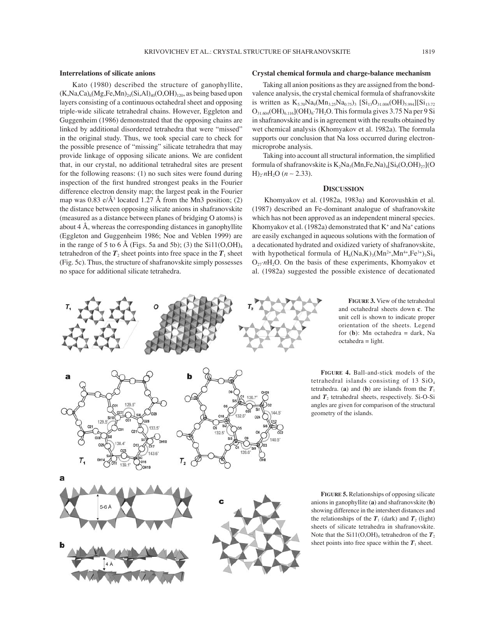#### **Interrelations of silicate anions**

 Kato (1980) described the structure of ganophyllite,  $(K,Na,Ca)_{6}(Mg,Fe,Mn)_{24}(Si,Al)_{40}(O,OH)_{120}$ , as being based upon layers consisting of a continuous octahedral sheet and opposing triple-wide silicate tetrahedral chains. However, Eggleton and Guggenheim (1986) demonstrated that the opposing chains are linked by additional disordered tetrahedra that were "missed" in the original study. Thus, we took special care to check for the possible presence of "missing" silicate tetrahedra that may provide linkage of opposing silicate anions. We are confident that, in our crystal, no additional tetrahedral sites are present for the following reasons: (1) no such sites were found during inspection of the first hundred strongest peaks in the Fourier difference electron density map; the largest peak in the Fourier map was  $0.83$  e/ $\AA$ <sup>3</sup> located 1.27  $\AA$  from the Mn3 position; (2) the distance between opposing silicate anions in shafranovskite (measured as a distance between planes of bridging O atoms) is about 4 Å, whereas the corresponding distances in ganophyllite (Eggleton and Guggenheim 1986; Noe and Veblen 1999) are in the range of 5 to 6 Å (Figs. 5a and 5b); (3) the  $Si11(O,OH)<sub>4</sub>$ tetrahedron of the  $T_2$  sheet points into free space in the  $T_1$  sheet (Fig. 5c). Thus, the structure of shafranovskite simply possesses no space for additional silicate tetrahedra.

## **Crystal chemical formula and charge-balance mechanism**

 Taking all anion positions as they are assigned from the bondvalence analysis, the crystal chemical formula of shafranovskite is written as  $K_{5,70}Na_9(Mn_{3,25}Na_{0,75})$  [Si<sub>13</sub>O<sub>31.006</sub>(OH)<sub>5.994</sub>][Si<sub>13.72</sub>]  $O_{31.604}(OH)_{6.116}[(OH)_{6}.7H_2O$ . This formula gives 3.75 Na per 9 Si in shafranovskite and is in agreement with the results obtained by wet chemical analysis (Khomyakov et al. 1982a). The formula supports our conclusion that Na loss occurred during electronmicroprobe analysis.

Taking into account all structural information, the simplified formula of shafranovskite is  $K_2Na_3(Mn,Fe,Na)_4[Si_9(O,OH)_{27}]$ (O H)2⋅*n*H2O (*n* ∼ 2.33).

#### **DISCUSSION**

 Khomyakov et al. (1982a, 1983a) and Korovushkin et al. (1987) described an Fe-dominant analogue of shafranovskite which has not been approved as an independent mineral species. Khomyakov et al. (1982a) demonstrated that  $K^+$  and  $Na^+$  cations are easily exchanged in aqueous solutions with the formation of a decationated hydrated and oxidized variety of shafranovskite, with hypothetical formula of  $H_6(Na,K)_{3}(Mn^{2+},Mn^{4+},Fe^{3+})_{3}Si_9$  $O_{27} \cdot nH_2O$ . On the basis of these experiments, Khomyakov et al. (1982a) suggested the possible existence of decationated



**FIGURE 3.** View of the tetrahedral and octahedral sheets down **c**. The unit cell is shown to indicate proper orientation of the sheets. Legend for (**b**): Mn octahedra = dark, Na  $octahedra = light.$ 

**FIGURE 4.** Ball-and-stick models of the tetrahedral islands consisting of 13 SiO4 tetrahedra. (a) and (b) are islands from the  $T_1$ and  $T_2$  tetrahedral sheets, respectively. Si-O-Si angles are given for comparison of the structural geometry of the islands.

**FIGURE 5.** Relationships of opposing silicate anions in ganophyllite (**a**) and shafranovskite (**b**) showing difference in the intersheet distances and the relationships of the  $T_1$  (dark) and  $T_2$  (light) sheets of silicate tetrahedra in shafranovskite. Note that the Si11(O,OH)<sub>4</sub> tetrahedron of the  $T_2$ sheet points into free space within the  $T_1$  sheet.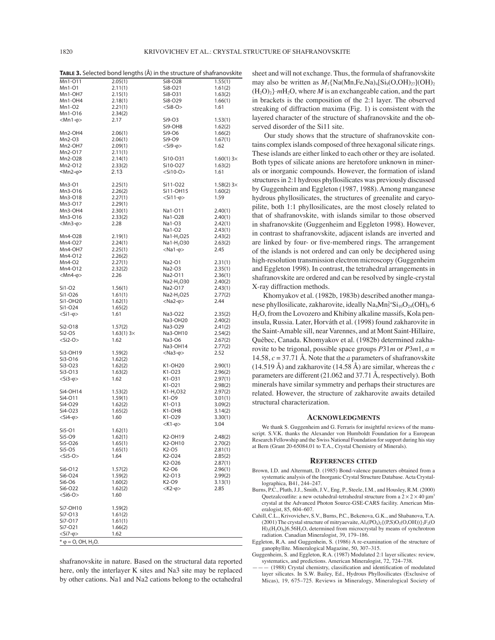**TABLE 3.** Selected bond lengths (Å) in the structure of shafranovskite

| Mn1-011                                  | 2.05(1)   | Si8-O28                | 1.55(1)            |
|------------------------------------------|-----------|------------------------|--------------------|
| Mn1-01                                   | 2.11(1)   | Si8-O21                | 1.61(2)            |
| Mn1-OH7                                  | 2.15(1)   | Si8-031                | 1.63(2)            |
| Mn1-OH4                                  | 2.18(1)   | Si8-O29                | 1.66(1)            |
| Mn1-O2                                   | 2.21(1)   | $<$ Si8-O $>$          | 1.61               |
| Mn1-016                                  | 2.34(2)   |                        |                    |
| $<$ Mn1- $\varphi$ >                     | 2.17      | Si9-O3                 | 1.53(1)            |
|                                          |           | Si9-OH8                | 1.62(2)            |
| Mn2-OH4                                  | 2.06(1)   | Si9-O6                 | 1.66(2)            |
| Mn2-O3                                   | 2.06(1)   | Si9-O9                 | 1.67(1)            |
| Mn2-OH7                                  | 2.09(1)   | $<$ Si9- $\varphi$ >   | 1.62               |
| Mn2-017                                  | 2.11(1)   |                        |                    |
| Mn2-O28                                  | 2.14(1)   | Si10-O31               | $1.60(1) 3 \times$ |
| Mn2-012                                  | 2.33(2)   | Si10-O27               | 1.63(2)            |
| $Mn2-\varphi$                            | 2.13      | $<$ Si10-O $>$         | 1.61               |
|                                          |           |                        |                    |
| Mn3-01                                   | 2.25(1)   | Si11-O22               | $1.58(2) 3 \times$ |
| Mn3-016                                  | 2.26(2)   | Si11-OH15              | 1.60(2)            |
| Mn3-018                                  | 2.27(1)   | $<$ Si11- $\varphi$ >  | 1.59               |
| Mn3-017                                  | 2.29(1)   |                        |                    |
| Mn3-OH4                                  | 2.30(1)   | Na1-011                | 2.40(1)            |
| Mn3-016                                  | 2.33(2)   | Na1-O28                | 2.40(1)            |
| $<$ Mn3- $\varphi$ >                     | 2.28      | Na1-O3                 | 2.42(1)            |
|                                          |           | Na1-O2                 | 2.43(1)            |
| Mn4-028                                  | 2.19(1)   | Na1-H <sub>2</sub> O25 | 2.43(2)            |
| Mn4-027                                  | 2.24(1)   | Na1-H <sub>2</sub> O30 | 2.63(2)            |
| Mn4-OH7                                  | 2.25(1)   | $<$ Na1- $\varphi$ >   | 2.45               |
| Mn4-012                                  | 2.26(2)   |                        |                    |
| Mn4-O2                                   | 2.27(1)   | Na2-O1                 | 2.31(1)            |
| Mn4-012                                  | 2.32(2)   | Na2-O3                 | 2.35(1)            |
| $<$ Mn4- $\varphi$ >                     | 2.26      | Na2-O11                | 2.36(1)            |
|                                          |           | Na2-H <sub>2</sub> O30 | 2.40(2)            |
| Si1-O2                                   | 1.56(1)   | Na2-017                | 2.43(1)            |
| Si1-O26                                  | 1.61(1)   | Na2-H <sub>2</sub> O25 | 2.77(2)            |
| Si1-OH20                                 | 1.62(1)   | $<$ Na2- $\varphi$ >   | 2.44               |
| Si1-O24                                  | 1.65(2)   |                        |                    |
| $<$ Si1- $\varphi$ >                     | 1.61      | Na3-O22                | 2.35(2)            |
|                                          |           | Na3-OH20               | 2.40(2)            |
| Si2-O18                                  | 1.57(2)   | Na3-O29                | 2.41(2)            |
| Si2-O5                                   | 1.63(1)3x | Na3-OH10               | 2.54(2)            |
| $<$ Si2-O $>$                            | 1.62      | Na3-O6                 | 2.67(2)            |
|                                          |           | Na3-OH14               | 2.77(2)            |
| Si3-OH19                                 | 1.59(2)   | $<$ Na3- $\varphi$ >   | 2.52               |
| Si3-O16                                  | 1.62(2)   |                        |                    |
| Si3-O23                                  | 1.62(2)   | K1-OH20                | 2.90(1)            |
| Si3-O13                                  | 1.63(2)   | K1-O23                 | 2.96(2)            |
| $<$ Si3- $\varphi$ >                     | 1.62      | K1-031                 | 2.97(1)            |
|                                          |           | K1-O21                 | 2.98(2)            |
| Si4-OH14                                 | 1.53(2)   | K1-H <sub>2</sub> O32  | 2.97(2)            |
| Si4-011                                  | 1.59(1)   | K1-O9                  | 3.01(1)            |
| Si4-O29                                  | 1.62(2)   | K1-O13                 | 3.09(2)            |
| Si4-O23                                  | 1.65(2)   | K1-OH8                 | 3.14(2)            |
| $<$ Si4- $\varphi$ >                     | 1.60      | K1-O29                 | 3.30(1)            |
|                                          |           | $<$ K1- $\varphi$ >    | 3.04               |
| Si5-01                                   | 1.62(1)   |                        |                    |
| Si5-O9                                   | 1.62(1)   | K2-OH19                | 2.48(2)            |
| Si5-O26                                  | 1.65(1)   | K2-OH10                | 2.70(2)            |
| Si5-O5                                   | 1.65(1)   | K2-O5                  | 2.81(1)            |
| $<$ Si5-O $>$                            | 1.64      | K2-O24                 | 2.85(2)            |
|                                          |           | K2-O26                 | 2.87(1)            |
| Si6-012                                  | 1.57(2)   | K2-O6                  | 2.96(1)            |
| Si6-O24                                  | 1.59(2)   | K2-013                 | 2.99(2)            |
| Si6-O6                                   | 1.60(2)   | K2-O9                  | 3.13(1)            |
| Si6-O22                                  | 1.62(2)   | $<$ K2- $\varphi$ >    | 2.85               |
| $<$ Si6-O $>$                            | 1.60      |                        |                    |
|                                          |           |                        |                    |
| Si7-OH10                                 | 1.59(2)   |                        |                    |
| Si7-013                                  | 1.61(2)   |                        |                    |
| Si7-017                                  | 1.61(1)   |                        |                    |
| Si7-O21                                  | 1.66(2)   |                        |                    |
| $<$ Si7- $\varphi$ >                     | 1.62      |                        |                    |
| $*$ $\varphi$ = O, OH, H <sub>2</sub> O. |           |                        |                    |
|                                          |           |                        |                    |

shafranovskite in nature. Based on the structural data reported here, only the interlayer K sites and Na3 site may be replaced by other cations. Na1 and Na2 cations belong to the octahedral

sheet and will not exchange. Thus, the formula of shafranovskite may also be written as  $M_3$ {Na(Mn,Fe,Na)<sub>4</sub>[Si<sub>9</sub>(O,OH)<sub>27</sub>](OH)<sub>2</sub> (H2O)2}⋅*m*H2O, where *M* is an exchangeable cation, and the part in brackets is the composition of the 2:1 layer. The observed streaking of diffraction maxima (Fig. 1) is consistent with the layered character of the structure of shafranovskite and the observed disorder of the Si11 site.

 Our study shows that the structure of shafranovskite contains complex islands composed of three hexagonal silicate rings. These islands are either linked to each other or they are isolated. Both types of silicate anions are heretofore unknown in minerals or inorganic compounds. However, the formation of island structures in 2:1 hydrous phyllosilicates was previously discussed by Guggenheim and Eggleton (1987, 1988). Among manganese hydrous phyllosilicates, the structures of greenalite and caryopilite, both 1:1 phyllosilicates, are the most closely related to that of shafranovskite, with islands similar to those observed in shafranovskite (Guggenheim and Eggleton 1998). However, in contrast to shafranovskite, adjacent islands are inverted and are linked by four- or five-membered rings. The arrangement of the islands is not ordered and can only be deciphered using high-resolution transmission electron microscopy (Guggenheim and Eggleton 1998). In contrast, the tetrahedral arrangements in shafranovskite are ordered and can be resolved by single-crystal X-ray diffraction methods.

 Khomyakov et al. (1982b, 1983b) described another manganese phyllosilicate, zakharovite, ideally  $\text{Na}_4\text{Mn}_5^2 \cdot \text{Si}_{10}\text{O}_{24}(\text{OH})_6 \cdot 6$ H<sub>2</sub>O, from the Lovozero and Khibiny alkaline massifs, Kola peninsula, Russia. Later, Horváth et al. (1998) found zakharovite in the Saint-Amable sill, near Varennes, and at Mont Saint-Hillaire, QuÈbec, Canada. Khomyakov et al. (1982b) determined zakharovite to be trigonal, possible space groups *P*31*m* or *P*3*m*1, *a* = 14.58, *c* = 37.71 Å. Note that the *a* parameters of shafranovskite  $(14.519 \text{ Å})$  and zakharovite  $(14.58 \text{ Å})$  are similar, whereas the *c* parameters are different (21.062 and 37.71 Å, respectively). Both minerals have similar symmetry and perhaps their structures are related. However, the structure of zakharovite awaits detailed structural characterization.

#### **ACKNOWLEDGMENTS**

We thank S. Guggenheim and G. Ferraris for insightful reviews of the manuscript. S.V.K. thanks the Alexander von Humboldt Foundation for a European Research Fellowship and the Swiss National Foundation for support during his stay at Bern (Grant 20-65084.01 to T.A., Crystal Chemistry of Minerals).

#### **REFERENCES CITED**

- Brown, I.D. and Altermatt, D. (1985) Bond-valence parameters obtained from a systematic analysis of the Inorganic Crystal Structure Database. Acta Crystallographica, B41, 244-247.
- Burns, P.C., Pluth, J.J., Smith, J.V., Eng, P., Steele, I.M., and Housley, R.M. (2000) Quetzalcoatlite: a new octahedral-tetrahedral structure from a  $2 \times 2 \times 40$   $\mu$ m<sup>3</sup> crystal at the Advanced Photon Source-GSE-CARS facility. American Mineralogist, 85, 604-607.
- Cahill, C.L., Krivovichev, S.V., Burns, P.C., Bekenova, G.K., and Shabanova, T.A. (2001) The crystal structure of mitryaevaite,  $Al_5(PO_4)_2\{(P,S)O_3(O,OH)\}\_2F_2(O)$ H)<sub>2</sub>(H<sub>2</sub>O)<sub>8</sub>]6.56H<sub>2</sub>O, determined from microcrystal by means of synchrotron radiation. Canadian Mineralogist, 39, 179-186.
- Eggleton, R.A. and Guggenhein, S. (1986) A re-examination of the structure of ganophyllite. Mineralogical Magazine, 50, 307-315.
- Guggenheim, S. and Eggleton, R.A. (1987) Modulated 2:1 layer silicates: review, systematics, and predictions. American Mineralogist, 72, 724-738.
- $-$  (1988) Crystal chemistry, classification and identification of modulated layer silicates. In S.W. Bailey, Ed., Hydrous Phyllosilicates (Exclusive of Micas), 19, 675-725. Reviews in Mineralogy, Mineralogical Society of